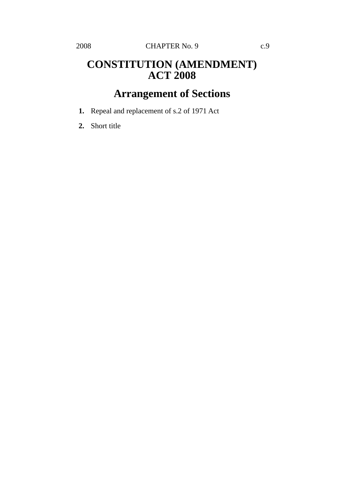## **CONSTITUTION (AMENDMENT) ACT 2008**

## **Arrangement of Sections**

- **1.** Repeal and replacement of s.2 of 1971 Act
- **2.** Short title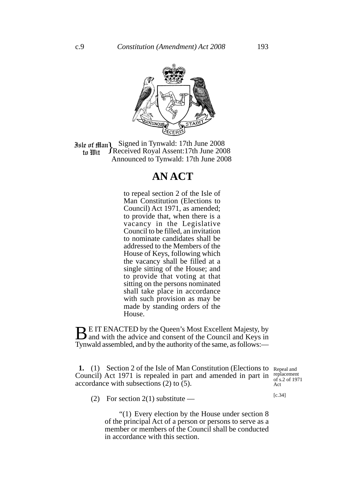

**Jule of Man)** Signed in Tynwald: 17th June 2008<br>In *III* Heceived Royal Assent: 17th June 2008 Received Royal Assent:17th June 2008 Announced to Tynwald: 17th June 2008 to Wit

## **AN ACT**

to repeal section 2 of the Isle of Man Constitution (Elections to Council) Act 1971, as amended; to provide that, when there is a vacancy in the Legislative Council to be filled, an invitation to nominate candidates shall be addressed to the Members of the House of Keys, following which the vacancy shall be filled at a single sitting of the House; and to provide that voting at that sitting on the persons nominated shall take place in accordance with such provision as may be made by standing orders of the House.

**BE IT ENACTED by the Queen's Most Excellent Majesty, by** and with the advice and consent of the Council and Keys in Tynwald assembled, and by the authority of the same, as follows:—

1. (1) Section 2 of the Isle of Man Constitution (Elections to Repeal and Council) Act 1971 is repealed in part and amended in part in replacement accordance with subsections (2) to (5).

of s.2 of 1971 Act

[c.34]

(2) For section 2(1) substitute —

"(1) Every election by the House under section 8 of the principal Act of a person or persons to serve as a member or members of the Council shall be conducted in accordance with this section.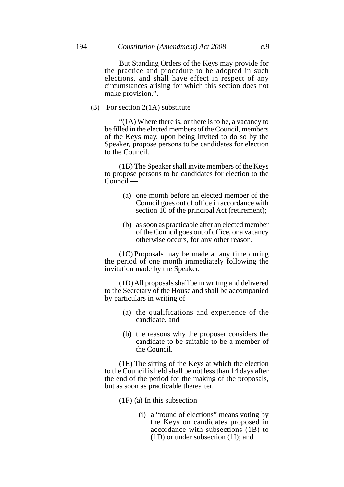But Standing Orders of the Keys may provide for the practice and procedure to be adopted in such elections, and shall have effect in respect of any circumstances arising for which this section does not make provision.".

(3) For section 2(1A) substitute —

"(1A) Where there is, or there is to be, a vacancy to be filled in the elected members of the Council, members of the Keys may, upon being invited to do so by the Speaker, propose persons to be candidates for election to the Council.

(1B) The Speaker shall invite members of the Keys to propose persons to be candidates for election to the  $C$ ouncil  $-$ 

- (a) one month before an elected member of the Council goes out of office in accordance with section 10 of the principal Act (retirement);
- (b) as soon as practicable after an elected member of the Council goes out of office, or a vacancy otherwise occurs, for any other reason.

(1C) Proposals may be made at any time during the period of one month immediately following the invitation made by the Speaker.

(1D)All proposals shall be in writing and delivered to the Secretary of the House and shall be accompanied by particulars in writing of —

- (a) the qualifications and experience of the candidate, and
- (b) the reasons why the proposer considers the candidate to be suitable to be a member of the Council.

(1E) The sitting of the Keys at which the election to the Council is held shall be not less than 14 days after the end of the period for the making of the proposals, but as soon as practicable thereafter.

 $(1F)$  (a) In this subsection —

(i) a "round of elections" means voting by the Keys on candidates proposed in accordance with subsections (1B) to (1D) or under subsection (1I); and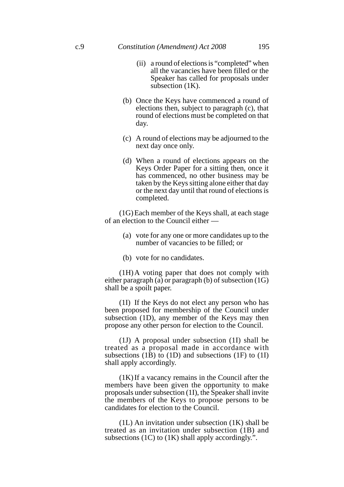- (ii) a round of elections is "completed" when all the vacancies have been filled or the Speaker has called for proposals under subsection  $(1K)$ .
- (b) Once the Keys have commenced a round of elections then, subject to paragraph (c), that round of elections must be completed on that day.
- (c) A round of elections may be adjourned to the next day once only.
- (d) When a round of elections appears on the Keys Order Paper for a sitting then, once it has commenced, no other business may be taken by the Keys sitting alone either that day or the next day until that round of elections is completed.

(1G)Each member of the Keys shall, at each stage of an election to the Council either —

- (a) vote for any one or more candidates up to the number of vacancies to be filled; or
- (b) vote for no candidates.

(1H)A voting paper that does not comply with either paragraph (a) or paragraph (b) of subsection (1G) shall be a spoilt paper.

(1I) If the Keys do not elect any person who has been proposed for membership of the Council under subsection (1D), any member of the Keys may then propose any other person for election to the Council.

(1J) A proposal under subsection (1I) shall be treated as a proposal made in accordance with subsections (1B) to (1D) and subsections (1F) to (1I) shall apply accordingly.

(1K)If a vacancy remains in the Council after the members have been given the opportunity to make proposals under subsection (1I), the Speaker shall invite the members of the Keys to propose persons to be candidates for election to the Council.

(1L) An invitation under subsection (1K) shall be treated as an invitation under subsection (1B) and subsections (1C) to (1K) shall apply accordingly.".